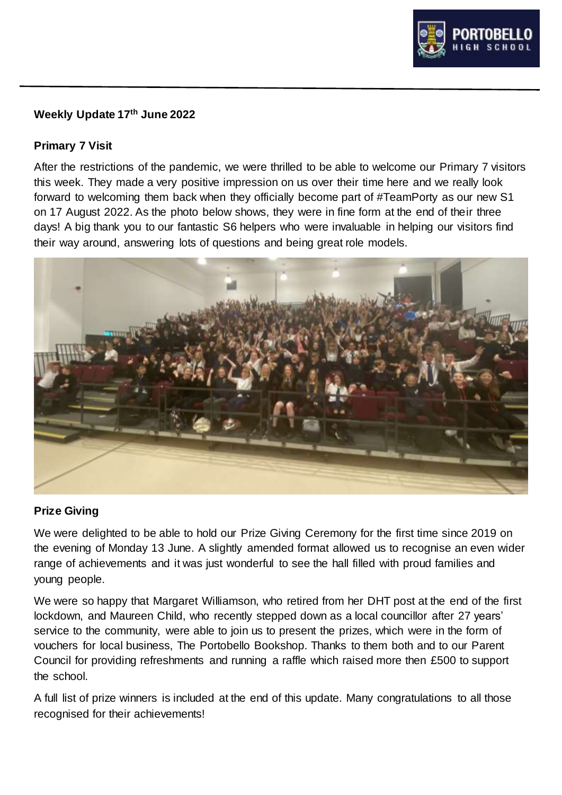

#### **Weekly Update 17th June 2022**

#### **Primary 7 Visit**

After the restrictions of the pandemic, we were thrilled to be able to welcome our Primary 7 visitors this week. They made a very positive impression on us over their time here and we really look forward to welcoming them back when they officially become part of #TeamPorty as our new S1 on 17 August 2022. As the photo below shows, they were in fine form at the end of their three days! A big thank you to our fantastic S6 helpers who were invaluable in helping our visitors find their way around, answering lots of questions and being great role models.



#### **Prize Giving**

We were delighted to be able to hold our Prize Giving Ceremony for the first time since 2019 on the evening of Monday 13 June. A slightly amended format allowed us to recognise an even wider range of achievements and it was just wonderful to see the hall filled with proud families and young people.

We were so happy that Margaret Williamson, who retired from her DHT post at the end of the first lockdown, and Maureen Child, who recently stepped down as a local councillor after 27 years' service to the community, were able to join us to present the prizes, which were in the form of vouchers for local business, The Portobello Bookshop. Thanks to them both and to our Parent Council for providing refreshments and running a raffle which raised more then £500 to support the school.

A full list of prize winners is included at the end of this update. Many congratulations to all those recognised for their achievements!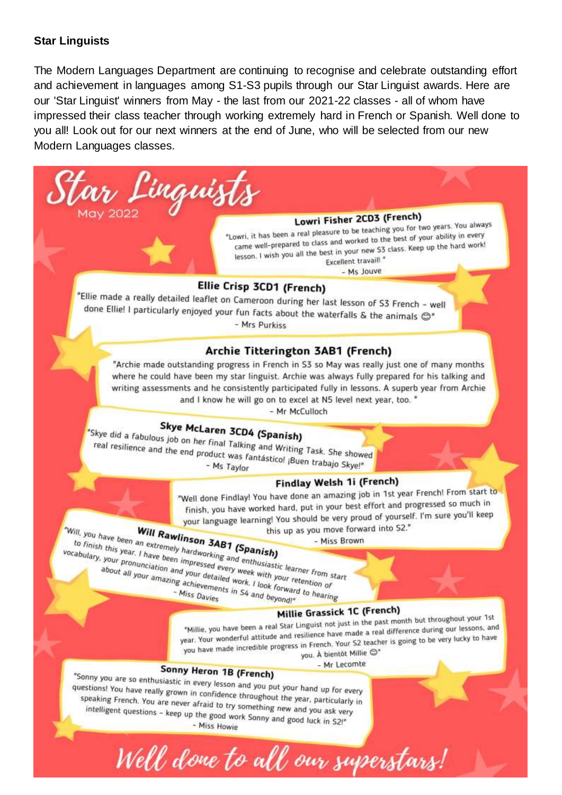#### **Star Linguists**

The Modern Languages Department are continuing to recognise and celebrate outstanding effort and achievement in languages among S1-S3 pupils through our Star Linguist awards. Here are our 'Star Linguist' winners from May - the last from our 2021-22 classes - all of whom have impressed their class teacher through working extremely hard in French or Spanish. Well done to you all! Look out for our next winners at the end of June, who will be selected from our new Modern Languages classes.

ar Linguists  $10y$  2022

## Lowri Fisher 2CD3 (French)

**Lowri Fisher 2003** (French)<br>"Lowri, it has been a real pleasure to be teaching you for two years. You always<br>"Lowri, it has been a real pleasure to be teaching you for two years. You always owri, it has been a real pleasure to be teaching you rur two years.<br>came well-prepared to class and worked to the best of your ability in every<br>came well-prepared to class and worked to the best of your ability in every came well-prepared to class and worked to the best of your dome,<br>lesson, I wish you all the best in your new S3 class. Keep up the hard work!<br>Eventlent travail! " Excellent travail!"

- Ms Jouve

#### Ellie Crisp 3CD1 (French)

"Ellie made a really detailed leaflet on Cameroon during her last lesson of S3 French - well done Ellie! I particularly enjoyed your fun facts about the waterfalls  $\&$  the animals  $\bigcirc$ " - Mrs Purkiss

#### Archie Titterington 3AB1 (French)

"Archie made outstanding progress in French in S3 so May was really just one of many months where he could have been my star linguist. Archie was always fully prepared for his talking and writing assessments and he consistently participated fully in lessons. A superb year from Archie and I know he will go on to excel at N5 level next year, too. "

- Mr McCulloch

# Skye McLaren 3CD4 (Spanish)

"Skye did a fabulous job on her final Talking and Writing Task. She showed<br>real resilience and the end product was fantásticol iBugn to their formulation real resilience and the end product was fantásticol jBuen trabajo Skyel\*<br>Teal resilience and the end product was fantásticol jBuen trabajo Skyel\* - Ms Taylor

#### Findlay Welsh 1i (French)

"Well done Findlay! You have done an amazing job in 1st year French! From start to Well done Findlay! You have done an amazing you in the progressed so much in your language learning! You should be very proud of yourself. I'm sure you'll keep

this up as you move forward into S2." - Miss Brown

your language learning! Four should be very<br>this up as you move for<br>this this vear, I have been an extremely hardworking<br>about all your pronunciation and your detailed work. I look summarized to the state of the state of t to finish this year. I have been an extremely hardworking and enthusiastic learner from strabulary, your pronunciation and your detailed work, I look forward to beare the strategy of this or this coments in S4 and r. That to finish this year. I have been impressed every week with your pronunciation and your detailed work. I look forward to hearing<br>about all your amazing achievements in S4 and beyond!"<br>Miss Davies and beyond!"<br>Miss Davies From pronunciation and your detailed work. I look forward about all your amazing achievements in S4 and beyond!"

Well done to all our superstars!

#### Millie Grassick 1C (French)

**Millie Grassick 1C (French)**<br>"Millie, you have been a real Star Linguist not just in the past month but throughout your 1st "Millie, you have been a real Star Linguist not just in the past month out throughout besons, and<br>year, Your wonderful attitude and resilience have made a real difference during our lessons, and<br>this progress in French. Yo year. Your wonderful attitude and resilience have made a real difference doing our location<br>you have made incredible progress in French. Your S2 teacher is going to be very lucky to have<br>you have made incredible progress i you. À bientôt Millie @\*

- Mr Lecomte

### Sonny Heron 1B (French)

"Sonny you are so enthusiastic in every lesson and you put your hand up for every<br>questions! You have really grown in confidence throughout the questions! You have really grown in confidence throughout the year, particularly in<br>speaking French. You are never afraid to try something now easy particularly in speaking French. You are never afraid to try something new and you ask very<br>intelligent questions - keep up the good work Sonny and you ask very intelligent questions - keep up the good work Sonny and good luck in S2!"<br>Miss Howie - Miss Howie - Miss Howie - Miss Howie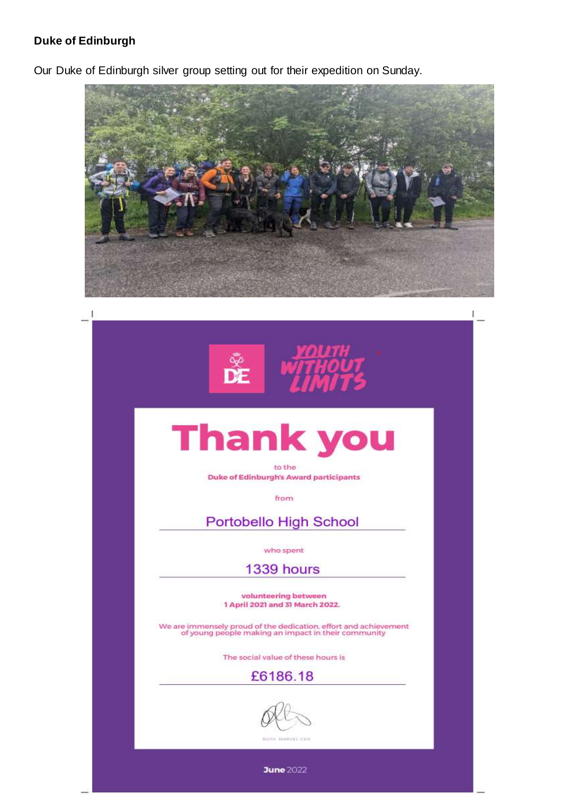#### **Duke of Edinburgh**

Our Duke of Edinburgh silver group setting out for their expedition on Sunday.



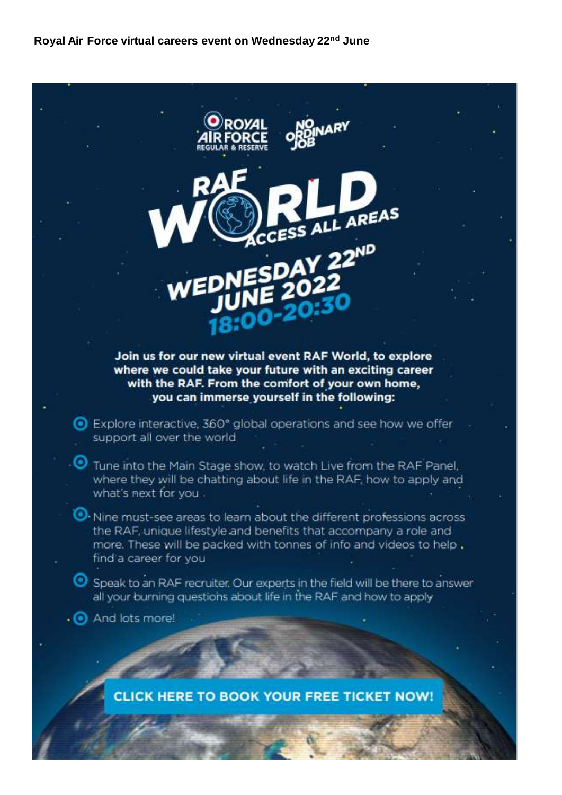**Royal Air Force virtual careers event on Wednesday 22nd June**



**CLICK HERE TO BOOK YOUR FREE TICKET NOW!**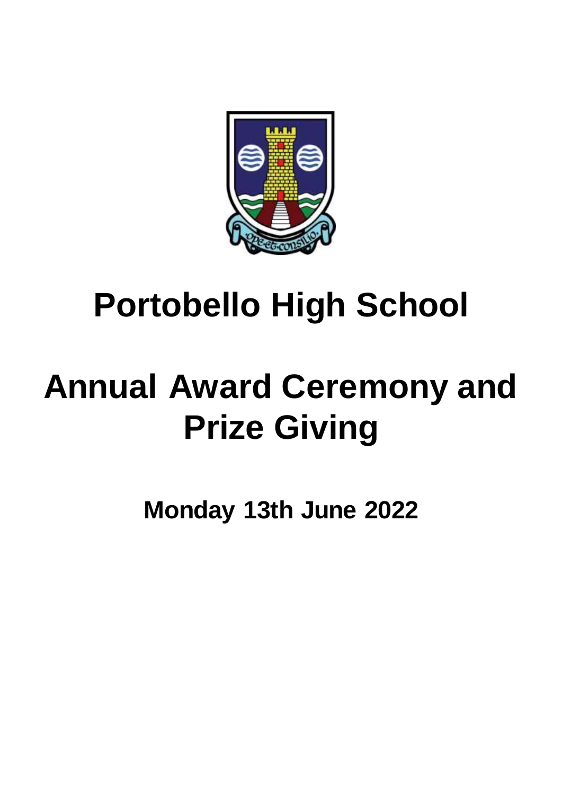

# **Portobello High School**

# **Annual Award Ceremony and Prize Giving**

**Monday 13th June 2022**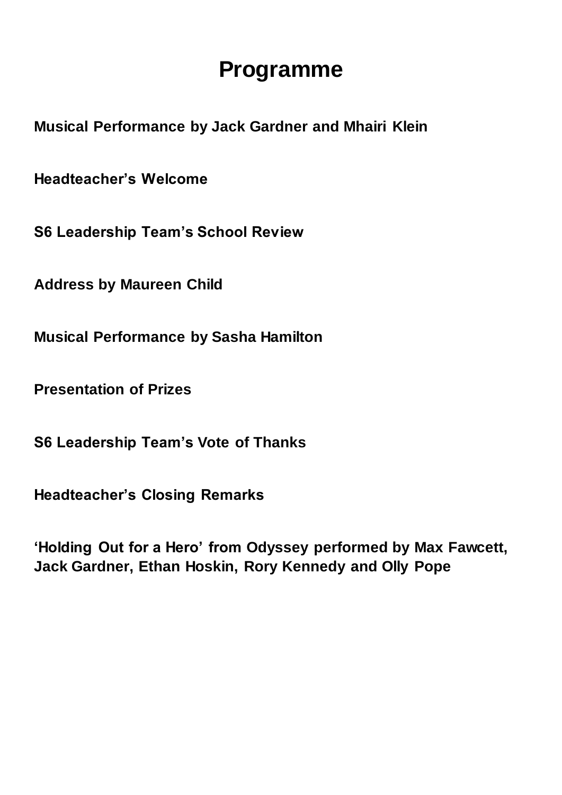# **Programme**

**Musical Performance by Jack Gardner and Mhairi Klein**

**Headteacher's Welcome** 

**S6 Leadership Team's School Review**

**Address by Maureen Child**

**Musical Performance by Sasha Hamilton** 

**Presentation of Prizes**

**S6 Leadership Team's Vote of Thanks** 

**Headteacher's Closing Remarks** 

**'Holding Out for a Hero' from Odyssey performed by Max Fawcett, Jack Gardner, Ethan Hoskin, Rory Kennedy and Olly Pope**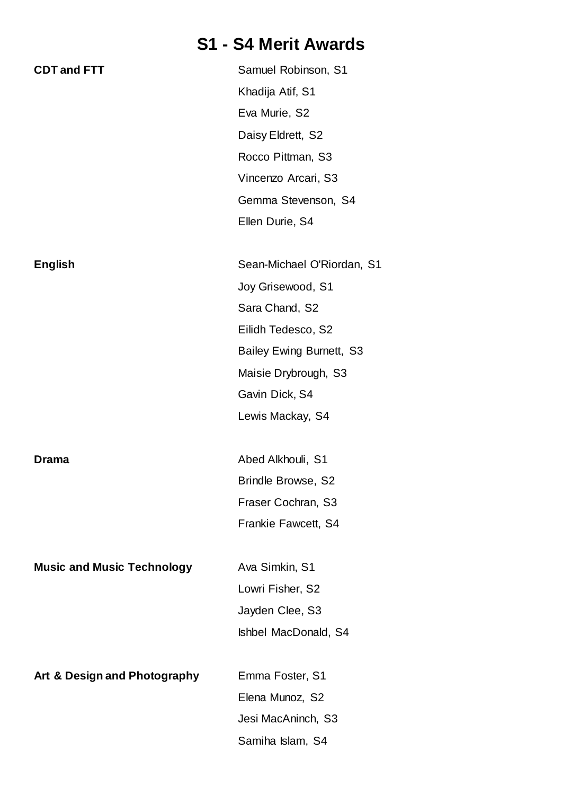# **S1 - S4 Merit Awards**

| <b>CDT and FTT</b>                | Samuel Robinson, S1        |
|-----------------------------------|----------------------------|
|                                   | Khadija Atif, S1           |
|                                   | Eva Murie, S2              |
|                                   | Daisy Eldrett, S2          |
|                                   | Rocco Pittman, S3          |
|                                   | Vincenzo Arcari, S3        |
|                                   | Gemma Stevenson, S4        |
|                                   | Ellen Durie, S4            |
|                                   |                            |
| <b>English</b>                    | Sean-Michael O'Riordan, S1 |
|                                   | Joy Grisewood, S1          |
|                                   | Sara Chand, S2             |
|                                   | Eilidh Tedesco, S2         |
|                                   | Bailey Ewing Burnett, S3   |
|                                   | Maisie Drybrough, S3       |
|                                   | Gavin Dick, S4             |
|                                   | Lewis Mackay, S4           |
|                                   |                            |
| <b>Drama</b>                      | Abed Alkhouli, S1          |
|                                   | <b>Brindle Browse, S2</b>  |
|                                   | Fraser Cochran, S3         |
|                                   | Frankie Fawcett, S4        |
|                                   |                            |
| <b>Music and Music Technology</b> | Ava Simkin, S1             |
|                                   | Lowri Fisher, S2           |
|                                   | Jayden Clee, S3            |
|                                   | Ishbel MacDonald, S4       |
|                                   |                            |
| Art & Design and Photography      | Emma Foster, S1            |
|                                   | Elena Munoz, S2            |
|                                   | Jesi MacAninch, S3         |
|                                   | Samiha Islam, S4           |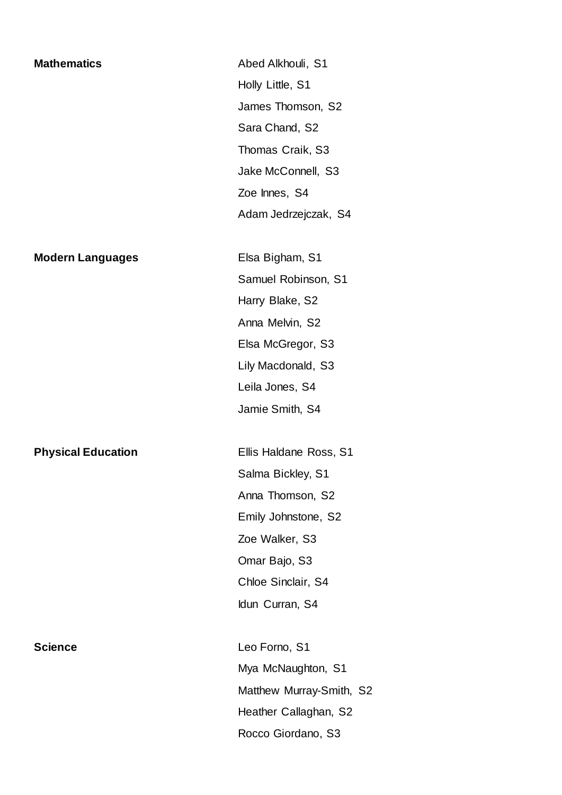**Mathematics** Abed Alkhouli, S1 Holly Little, S1 James Thomson, S2 Sara Chand, S2 Thomas Craik, S3 Jake McConnell, S3 Zoe Innes, S4 Adam Jedrzejczak, S4

#### **Modern Languages** Elsa Bigham, S1

**Physical Education** Ellis Haldane Ross, S1

Samuel Robinson, S1 Harry Blake, S2 Anna Melvin, S2 Elsa McGregor, S3 Lily Macdonald, S3 Leila Jones, S4 Jamie Smith, S4

Salma Bickley, S1 Anna Thomson, S2 Emily Johnstone, S2 Zoe Walker, S3 Omar Bajo, S3 Chloe Sinclair, S4 Idun Curran, S4

**Science** Leo Forno, S1 Mya McNaughton, S1 Matthew Murray-Smith, S2 Heather Callaghan, S2 Rocco Giordano, S3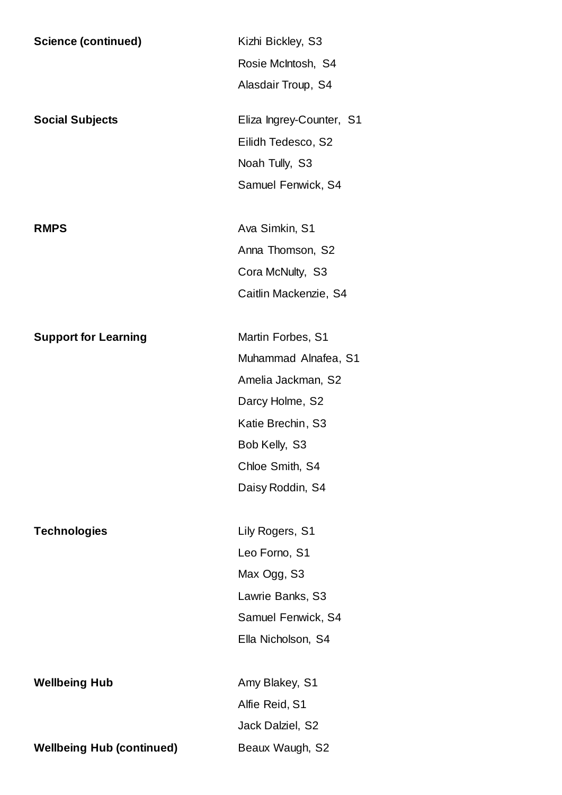| <b>Science (continued)</b>       | Kizhi Bickley, S3        |  |
|----------------------------------|--------------------------|--|
|                                  | Rosie McIntosh, S4       |  |
|                                  | Alasdair Troup, S4       |  |
| <b>Social Subjects</b>           | Eliza Ingrey-Counter, S1 |  |
|                                  | Eilidh Tedesco, S2       |  |
|                                  | Noah Tully, S3           |  |
|                                  | Samuel Fenwick, S4       |  |
| <b>RMPS</b>                      | Ava Simkin, S1           |  |
|                                  | Anna Thomson, S2         |  |
|                                  | Cora McNulty, S3         |  |
|                                  | Caitlin Mackenzie, S4    |  |
| <b>Support for Learning</b>      | Martin Forbes, S1        |  |
|                                  | Muhammad Alnafea, S1     |  |
|                                  | Amelia Jackman, S2       |  |
|                                  | Darcy Holme, S2          |  |
|                                  | Katie Brechin, S3        |  |
|                                  | Bob Kelly, S3            |  |
|                                  | Chloe Smith, S4          |  |
|                                  | Daisy Roddin, S4         |  |
| <b>Technologies</b>              | Lily Rogers, S1          |  |
|                                  | Leo Forno, S1            |  |
|                                  | Max Ogg, S3              |  |
|                                  | Lawrie Banks, S3         |  |
|                                  | Samuel Fenwick, S4       |  |
|                                  | Ella Nicholson, S4       |  |
| <b>Wellbeing Hub</b>             | Amy Blakey, S1           |  |
|                                  | Alfie Reid, S1           |  |
|                                  | Jack Dalziel, S2         |  |
| <b>Wellbeing Hub (continued)</b> | Beaux Waugh, S2          |  |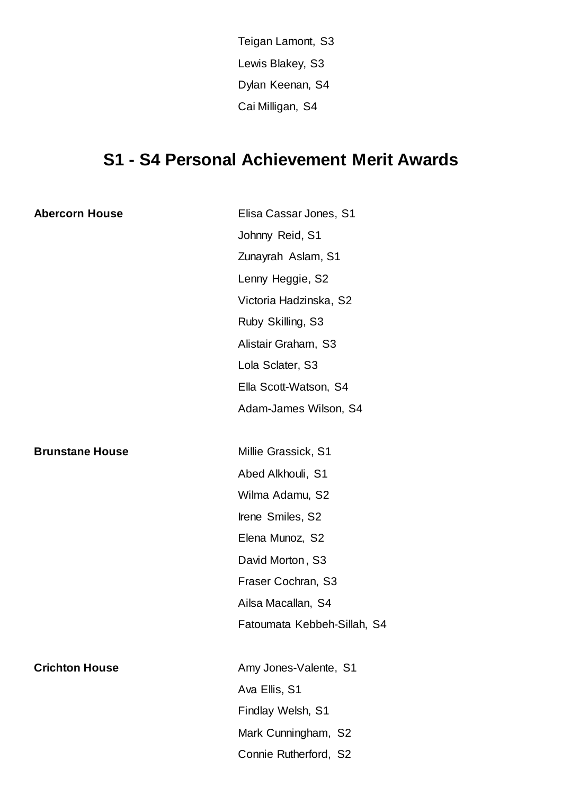Teigan Lamont, S3 Lewis Blakey, S3 Dylan Keenan, S4 Cai Milligan, S4

# **S1 - S4 Personal Achievement Merit Awards**

| <b>Abercorn House</b>  | Elisa Cassar Jones, S1      |  |
|------------------------|-----------------------------|--|
|                        | Johnny Reid, S1             |  |
|                        | Zunayrah Aslam, S1          |  |
|                        | Lenny Heggie, S2            |  |
|                        | Victoria Hadzinska, S2      |  |
|                        | Ruby Skilling, S3           |  |
|                        | Alistair Graham, S3         |  |
|                        | Lola Sclater, S3            |  |
|                        | Ella Scott-Watson, S4       |  |
|                        | Adam-James Wilson, S4       |  |
|                        |                             |  |
| <b>Brunstane House</b> | Millie Grassick, S1         |  |
|                        | Abed Alkhouli, S1           |  |
|                        | Wilma Adamu, S2             |  |
|                        | Irene Smiles, S2            |  |
|                        | Elena Munoz, S2             |  |
|                        | David Morton, S3            |  |
|                        | Fraser Cochran, S3          |  |
|                        | Ailsa Macallan, S4          |  |
|                        | Fatoumata Kebbeh-Sillah, S4 |  |
|                        |                             |  |
| <b>Crichton House</b>  | Amy Jones-Valente, S1       |  |
|                        | Ava Ellis, S1               |  |
|                        | Findlay Welsh, S1           |  |
|                        | Mark Cunningham, S2         |  |
|                        | Connie Rutherford, S2       |  |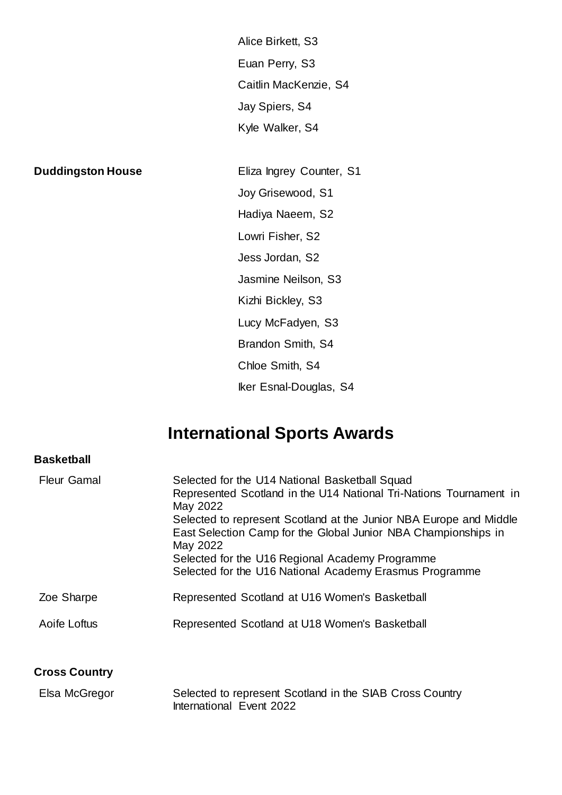Alice Birkett, S3 Euan Perry, S3 Caitlin MacKenzie, S4 Jay Spiers, S4 Kyle Walker, S4

**Duddingston House** Eliza Ingrey Counter, S1 Joy Grisewood, S1 Hadiya Naeem, S2 Lowri Fisher, S2 Jess Jordan, S2 Jasmine Neilson, S3 Kizhi Bickley, S3 Lucy McFadyen, S3 Brandon Smith, S4 Chloe Smith, S4 Iker Esnal-Douglas, S4

# **International Sports Awards**

| <b>Basketball</b>    |                                                                                                                                                                                                                                                                                                                                                                                                    |
|----------------------|----------------------------------------------------------------------------------------------------------------------------------------------------------------------------------------------------------------------------------------------------------------------------------------------------------------------------------------------------------------------------------------------------|
| <b>Fleur Gamal</b>   | Selected for the U14 National Basketball Squad<br>Represented Scotland in the U14 National Tri-Nations Tournament in<br>May 2022<br>Selected to represent Scotland at the Junior NBA Europe and Middle<br>East Selection Camp for the Global Junior NBA Championships in<br>May 2022<br>Selected for the U16 Regional Academy Programme<br>Selected for the U16 National Academy Erasmus Programme |
| Zoe Sharpe           | Represented Scotland at U16 Women's Basketball                                                                                                                                                                                                                                                                                                                                                     |
| Aoife Loftus         | Represented Scotland at U18 Women's Basketball                                                                                                                                                                                                                                                                                                                                                     |
| <b>Cross Country</b> |                                                                                                                                                                                                                                                                                                                                                                                                    |

| Elsa McGregor | Selected to represent Scotland in the SIAB Cross Country |
|---------------|----------------------------------------------------------|
|               | International Event 2022                                 |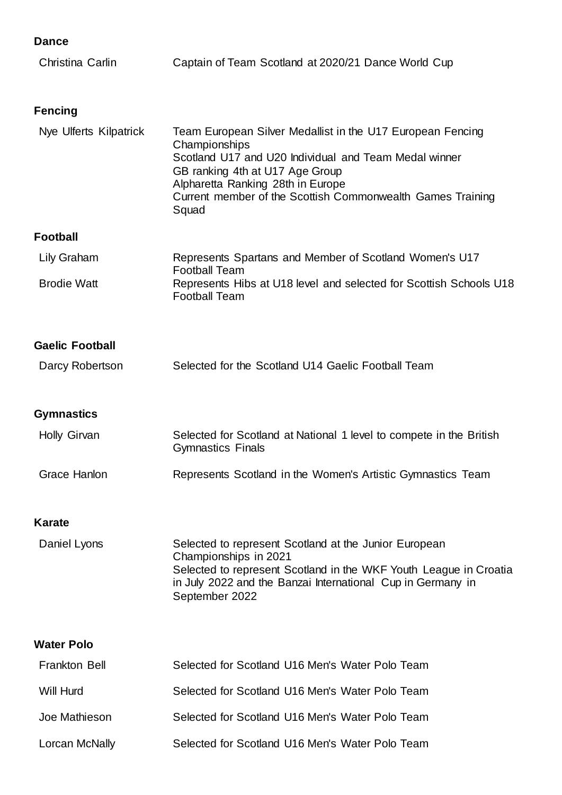| Christina Carlin       | Captain of Team Scotland at 2020/21 Dance World Cup                                                                                                                                                                                                                                 |
|------------------------|-------------------------------------------------------------------------------------------------------------------------------------------------------------------------------------------------------------------------------------------------------------------------------------|
| <b>Fencing</b>         |                                                                                                                                                                                                                                                                                     |
| Nye Ulferts Kilpatrick | Team European Silver Medallist in the U17 European Fencing<br>Championships<br>Scotland U17 and U20 Individual and Team Medal winner<br>GB ranking 4th at U17 Age Group<br>Alpharetta Ranking 28th in Europe<br>Current member of the Scottish Commonwealth Games Training<br>Squad |
| <b>Football</b>        |                                                                                                                                                                                                                                                                                     |
| Lily Graham            | Represents Spartans and Member of Scotland Women's U17<br><b>Football Team</b>                                                                                                                                                                                                      |
| <b>Brodie Watt</b>     | Represents Hibs at U18 level and selected for Scottish Schools U18<br><b>Football Team</b>                                                                                                                                                                                          |
| <b>Gaelic Football</b> |                                                                                                                                                                                                                                                                                     |
| Darcy Robertson        | Selected for the Scotland U14 Gaelic Football Team                                                                                                                                                                                                                                  |
| <b>Gymnastics</b>      |                                                                                                                                                                                                                                                                                     |
| <b>Holly Girvan</b>    | Selected for Scotland at National 1 level to compete in the British<br><b>Gymnastics Finals</b>                                                                                                                                                                                     |
| <b>Grace Hanlon</b>    | Represents Scotland in the Women's Artistic Gymnastics Team                                                                                                                                                                                                                         |
| <b>Karate</b>          |                                                                                                                                                                                                                                                                                     |
| Daniel Lyons           | Selected to represent Scotland at the Junior European<br>Championships in 2021<br>Selected to represent Scotland in the WKF Youth League in Croatia<br>in July 2022 and the Banzai International Cup in Germany in<br>September 2022                                                |
| <b>Water Polo</b>      |                                                                                                                                                                                                                                                                                     |
| <b>Frankton Bell</b>   | Selected for Scotland U16 Men's Water Polo Team                                                                                                                                                                                                                                     |
| <b>Will Hurd</b>       | Selected for Scotland U16 Men's Water Polo Team                                                                                                                                                                                                                                     |
| Joe Mathieson          | Selected for Scotland U16 Men's Water Polo Team                                                                                                                                                                                                                                     |
| Lorcan McNally         | Selected for Scotland U16 Men's Water Polo Team                                                                                                                                                                                                                                     |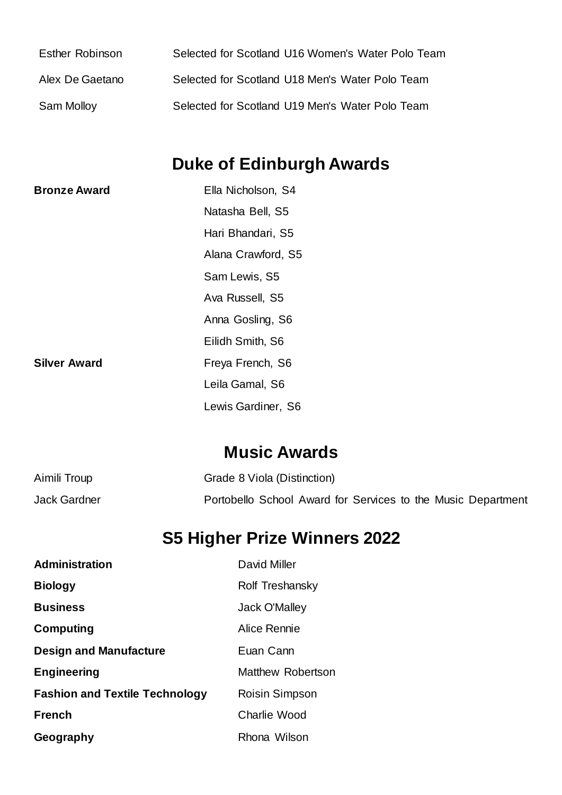| Esther Robinson | Selected for Scotland U16 Women's Water Polo Team |
|-----------------|---------------------------------------------------|
| Alex De Gaetano | Selected for Scotland U18 Men's Water Polo Team   |
| Sam Molloy      | Selected for Scotland U19 Men's Water Polo Team   |

# **Duke of Edinburgh Awards**

| <b>Bronze Award</b> | Ella Nicholson, S4 |
|---------------------|--------------------|
|                     | Natasha Bell, S5   |
|                     | Hari Bhandari, S5  |
|                     | Alana Crawford, S5 |
|                     | Sam Lewis, S5      |
|                     | Ava Russell, S5    |
|                     | Anna Gosling, S6   |
|                     | Eilidh Smith, S6   |
| <b>Silver Award</b> | Freya French, S6   |
|                     | Leila Gamal, S6    |
|                     | Lewis Gardiner, S6 |

# **Music Awards**

| Aimili Troup | Grade 8 Viola (Distinction)                                  |
|--------------|--------------------------------------------------------------|
| Jack Gardner | Portobello School Award for Services to the Music Department |

# **S5 Higher Prize Winners 2022**

| <b>Administration</b>                 | <b>David Miller</b>  |
|---------------------------------------|----------------------|
| <b>Biology</b>                        | Rolf Treshansky      |
| <b>Business</b>                       | <b>Jack O'Malley</b> |
| <b>Computing</b>                      | Alice Rennie         |
| <b>Design and Manufacture</b>         | Euan Cann            |
| <b>Engineering</b>                    | Matthew Robertson    |
| <b>Fashion and Textile Technology</b> | Roisin Simpson       |
| <b>French</b>                         | Charlie Wood         |
| Geography                             | Rhona Wilson         |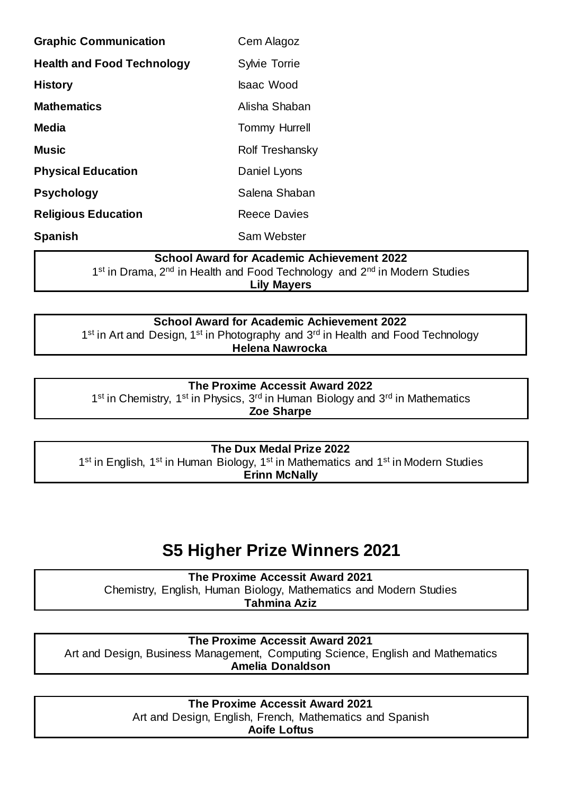| <b>Graphic Communication</b>      | Cem Alagoz           |
|-----------------------------------|----------------------|
| <b>Health and Food Technology</b> | <b>Sylvie Torrie</b> |
| <b>History</b>                    | <b>Isaac Wood</b>    |
| <b>Mathematics</b>                | Alisha Shaban        |
| <b>Media</b>                      | <b>Tommy Hurrell</b> |
| <b>Music</b>                      | Rolf Treshansky      |
| <b>Physical Education</b>         | Daniel Lyons         |
| <b>Psychology</b>                 | Salena Shaban        |
| <b>Religious Education</b>        | <b>Reece Davies</b>  |
| <b>Spanish</b>                    | Sam Webster          |

#### **School Award for Academic Achievement 2022**

1<sup>st</sup> in Drama, 2<sup>nd</sup> in Health and Food Technology and 2<sup>nd</sup> in Modern Studies **Lily Mayers**

**School Award for Academic Achievement 2022** 1<sup>st</sup> in Art and Design, 1<sup>st</sup> in Photography and 3<sup>rd</sup> in Health and Food Technology **Helena Nawrocka**

#### **The Proxime Accessit Award 2022**

1<sup>st</sup> in Chemistry, 1<sup>st</sup> in Physics, 3<sup>rd</sup> in Human Biology and 3<sup>rd</sup> in Mathematics

**Zoe Sharpe**

#### **The Dux Medal Prize 2022**

1<sup>st</sup> in English, 1<sup>st</sup> in Human Biology, 1<sup>st</sup> in Mathematics and 1<sup>st</sup> in Modern Studies **Erinn McNally**

# **S5 Higher Prize Winners 2021**

**The Proxime Accessit Award 2021** Chemistry, English, Human Biology, Mathematics and Modern Studies **Tahmina Aziz**

**The Proxime Accessit Award 2021** Art and Design, Business Management, Computing Science, English and Mathematics **Amelia Donaldson**

> **The Proxime Accessit Award 2021** Art and Design, English, French, Mathematics and Spanish **Aoife Loftus**